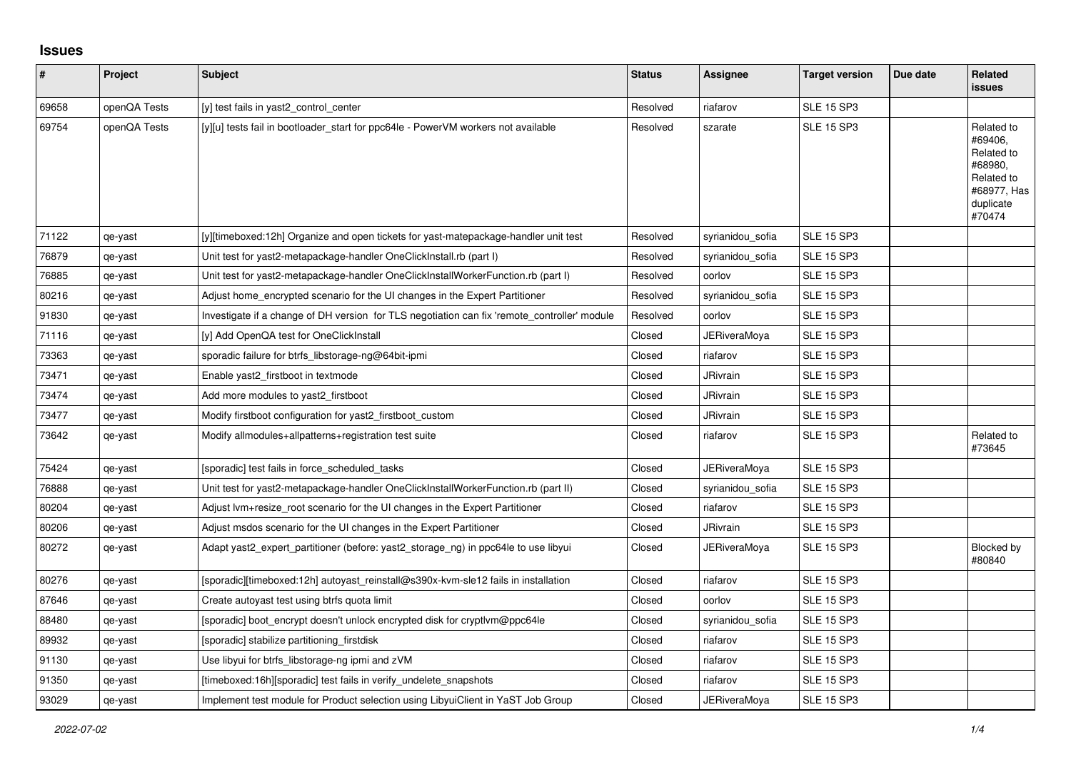## **Issues**

| #     | Project      | <b>Subject</b>                                                                               | <b>Status</b> | Assignee            | <b>Target version</b> | Due date | Related<br><b>issues</b>                                                                           |
|-------|--------------|----------------------------------------------------------------------------------------------|---------------|---------------------|-----------------------|----------|----------------------------------------------------------------------------------------------------|
| 69658 | openQA Tests | [y] test fails in yast2_control_center                                                       | Resolved      | riafarov            | <b>SLE 15 SP3</b>     |          |                                                                                                    |
| 69754 | openQA Tests | [y][u] tests fail in bootloader_start for ppc64le - PowerVM workers not available            | Resolved      | szarate             | <b>SLE 15 SP3</b>     |          | Related to<br>#69406,<br>Related to<br>#68980,<br>Related to<br>#68977, Has<br>duplicate<br>#70474 |
| 71122 | qe-yast      | [y][timeboxed:12h] Organize and open tickets for yast-matepackage-handler unit test          | Resolved      | syrianidou_sofia    | <b>SLE 15 SP3</b>     |          |                                                                                                    |
| 76879 | qe-yast      | Unit test for yast2-metapackage-handler OneClickInstall.rb (part I)                          | Resolved      | syrianidou sofia    | <b>SLE 15 SP3</b>     |          |                                                                                                    |
| 76885 | qe-yast      | Unit test for yast2-metapackage-handler OneClickInstallWorkerFunction.rb (part I)            | Resolved      | oorlov              | <b>SLE 15 SP3</b>     |          |                                                                                                    |
| 80216 | qe-yast      | Adjust home_encrypted scenario for the UI changes in the Expert Partitioner                  | Resolved      | syrianidou_sofia    | <b>SLE 15 SP3</b>     |          |                                                                                                    |
| 91830 | qe-yast      | Investigate if a change of DH version for TLS negotiation can fix 'remote controller' module | Resolved      | oorlov              | <b>SLE 15 SP3</b>     |          |                                                                                                    |
| 71116 | qe-yast      | [y] Add OpenQA test for OneClickInstall                                                      | Closed        | <b>JERiveraMoya</b> | <b>SLE 15 SP3</b>     |          |                                                                                                    |
| 73363 | qe-yast      | sporadic failure for btrfs libstorage-ng@64bit-ipmi                                          | Closed        | riafarov            | <b>SLE 15 SP3</b>     |          |                                                                                                    |
| 73471 | qe-yast      | Enable yast2_firstboot in textmode                                                           | Closed        | <b>JRivrain</b>     | <b>SLE 15 SP3</b>     |          |                                                                                                    |
| 73474 | qe-yast      | Add more modules to yast2_firstboot                                                          | Closed        | JRivrain            | <b>SLE 15 SP3</b>     |          |                                                                                                    |
| 73477 | qe-yast      | Modify firstboot configuration for yast2_firstboot_custom                                    | Closed        | <b>JRivrain</b>     | <b>SLE 15 SP3</b>     |          |                                                                                                    |
| 73642 | qe-yast      | Modify allmodules+allpatterns+registration test suite                                        | Closed        | riafarov            | <b>SLE 15 SP3</b>     |          | Related to<br>#73645                                                                               |
| 75424 | qe-yast      | [sporadic] test fails in force scheduled tasks                                               | Closed        | JERiveraMoya        | <b>SLE 15 SP3</b>     |          |                                                                                                    |
| 76888 | qe-yast      | Unit test for yast2-metapackage-handler OneClickInstallWorkerFunction.rb (part II)           | Closed        | syrianidou_sofia    | <b>SLE 15 SP3</b>     |          |                                                                                                    |
| 80204 | qe-yast      | Adjust lvm+resize_root scenario for the UI changes in the Expert Partitioner                 | Closed        | riafarov            | <b>SLE 15 SP3</b>     |          |                                                                                                    |
| 80206 | qe-yast      | Adjust msdos scenario for the UI changes in the Expert Partitioner                           | Closed        | <b>JRivrain</b>     | <b>SLE 15 SP3</b>     |          |                                                                                                    |
| 80272 | qe-yast      | Adapt yast2_expert_partitioner (before: yast2_storage_ng) in ppc64le to use libyui           | Closed        | JERiveraMoya        | <b>SLE 15 SP3</b>     |          | Blocked by<br>#80840                                                                               |
| 80276 | qe-yast      | [sporadic][timeboxed:12h] autoyast reinstall@s390x-kvm-sle12 fails in installation           | Closed        | riafarov            | <b>SLE 15 SP3</b>     |          |                                                                                                    |
| 87646 | qe-yast      | Create autoyast test using btrfs quota limit                                                 | Closed        | oorlov              | <b>SLE 15 SP3</b>     |          |                                                                                                    |
| 88480 | qe-yast      | [sporadic] boot_encrypt doesn't unlock encrypted disk for cryptlvm@ppc64le                   | Closed        | syrianidou_sofia    | <b>SLE 15 SP3</b>     |          |                                                                                                    |
| 89932 | qe-yast      | [sporadic] stabilize partitioning firstdisk                                                  | Closed        | riafarov            | <b>SLE 15 SP3</b>     |          |                                                                                                    |
| 91130 | qe-yast      | Use libyui for btrfs libstorage-ng ipmi and zVM                                              | Closed        | riafarov            | <b>SLE 15 SP3</b>     |          |                                                                                                    |
| 91350 | qe-yast      | [timeboxed:16h][sporadic] test fails in verify_undelete_snapshots                            | Closed        | riafarov            | <b>SLE 15 SP3</b>     |          |                                                                                                    |
| 93029 | qe-yast      | Implement test module for Product selection using LibyuiClient in YaST Job Group             | Closed        | <b>JERiveraMova</b> | <b>SLE 15 SP3</b>     |          |                                                                                                    |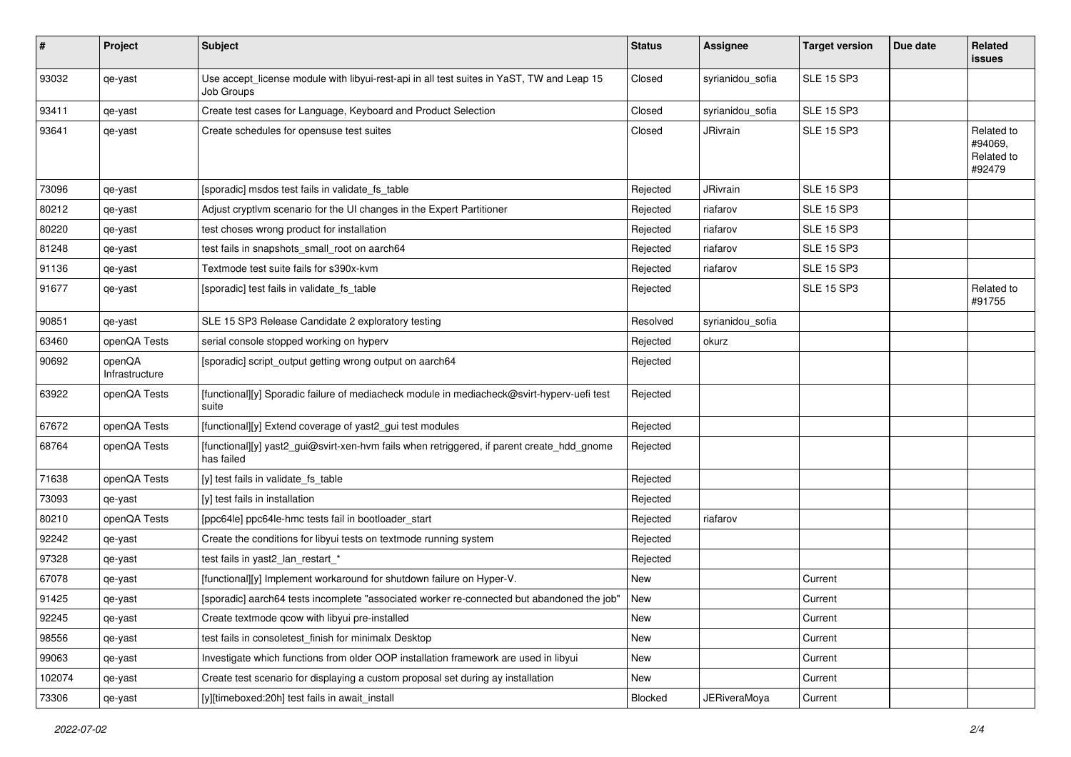| #      | Project                  | <b>Subject</b>                                                                                           | <b>Status</b> | Assignee            | <b>Target version</b> | Due date | Related<br>issues                             |
|--------|--------------------------|----------------------------------------------------------------------------------------------------------|---------------|---------------------|-----------------------|----------|-----------------------------------------------|
| 93032  | qe-yast                  | Use accept_license module with libyui-rest-api in all test suites in YaST, TW and Leap 15<br>Job Groups  | Closed        | syrianidou_sofia    | <b>SLE 15 SP3</b>     |          |                                               |
| 93411  | qe-yast                  | Create test cases for Language, Keyboard and Product Selection                                           | Closed        | syrianidou_sofia    | <b>SLE 15 SP3</b>     |          |                                               |
| 93641  | qe-yast                  | Create schedules for opensuse test suites                                                                | Closed        | JRivrain            | <b>SLE 15 SP3</b>     |          | Related to<br>#94069,<br>Related to<br>#92479 |
| 73096  | qe-yast                  | [sporadic] msdos test fails in validate fs table                                                         | Rejected      | <b>JRivrain</b>     | <b>SLE 15 SP3</b>     |          |                                               |
| 80212  | qe-yast                  | Adjust cryptlvm scenario for the UI changes in the Expert Partitioner                                    | Rejected      | riafarov            | <b>SLE 15 SP3</b>     |          |                                               |
| 80220  | qe-yast                  | test choses wrong product for installation                                                               | Rejected      | riafarov            | <b>SLE 15 SP3</b>     |          |                                               |
| 81248  | qe-yast                  | test fails in snapshots_small_root on aarch64                                                            | Rejected      | riafarov            | <b>SLE 15 SP3</b>     |          |                                               |
| 91136  | qe-yast                  | Textmode test suite fails for s390x-kvm                                                                  | Rejected      | riafarov            | <b>SLE 15 SP3</b>     |          |                                               |
| 91677  | qe-yast                  | [sporadic] test fails in validate_fs_table                                                               | Rejected      |                     | <b>SLE 15 SP3</b>     |          | Related to<br>#91755                          |
| 90851  | qe-yast                  | SLE 15 SP3 Release Candidate 2 exploratory testing                                                       | Resolved      | syrianidou_sofia    |                       |          |                                               |
| 63460  | openQA Tests             | serial console stopped working on hyperv                                                                 | Rejected      | okurz               |                       |          |                                               |
| 90692  | openQA<br>Infrastructure | [sporadic] script_output getting wrong output on aarch64                                                 | Rejected      |                     |                       |          |                                               |
| 63922  | openQA Tests             | [functional][y] Sporadic failure of mediacheck module in mediacheck@svirt-hyperv-uefi test<br>suite      | Rejected      |                     |                       |          |                                               |
| 67672  | openQA Tests             | [functional][y] Extend coverage of yast2_gui test modules                                                | Rejected      |                     |                       |          |                                               |
| 68764  | openQA Tests             | [functional][y] yast2_gui@svirt-xen-hvm fails when retriggered, if parent create_hdd_gnome<br>has failed | Rejected      |                     |                       |          |                                               |
| 71638  | openQA Tests             | [y] test fails in validate_fs_table                                                                      | Rejected      |                     |                       |          |                                               |
| 73093  | qe-yast                  | [y] test fails in installation                                                                           | Rejected      |                     |                       |          |                                               |
| 80210  | openQA Tests             | [ppc64le] ppc64le-hmc tests fail in bootloader_start                                                     | Rejected      | riafarov            |                       |          |                                               |
| 92242  | qe-yast                  | Create the conditions for libyui tests on textmode running system                                        | Rejected      |                     |                       |          |                                               |
| 97328  | qe-yast                  | test fails in yast2_lan_restart_*                                                                        | Rejected      |                     |                       |          |                                               |
| 67078  | qe-yast                  | [functional][y] Implement workaround for shutdown failure on Hyper-V.                                    | New           |                     | Current               |          |                                               |
| 91425  | qe-yast                  | [sporadic] aarch64 tests incomplete "associated worker re-connected but abandoned the job"               | New           |                     | Current               |          |                                               |
| 92245  | qe-yast                  | Create textmode qcow with libyui pre-installed                                                           | New           |                     | Current               |          |                                               |
| 98556  | qe-yast                  | test fails in consoletest_finish for minimalx Desktop                                                    | New           |                     | Current               |          |                                               |
| 99063  | qe-yast                  | Investigate which functions from older OOP installation framework are used in libyui                     | New           |                     | Current               |          |                                               |
| 102074 | qe-yast                  | Create test scenario for displaying a custom proposal set during ay installation                         | New           |                     | Current               |          |                                               |
| 73306  | qe-yast                  | [y][timeboxed:20h] test fails in await_install                                                           | Blocked       | <b>JERiveraMoya</b> | Current               |          |                                               |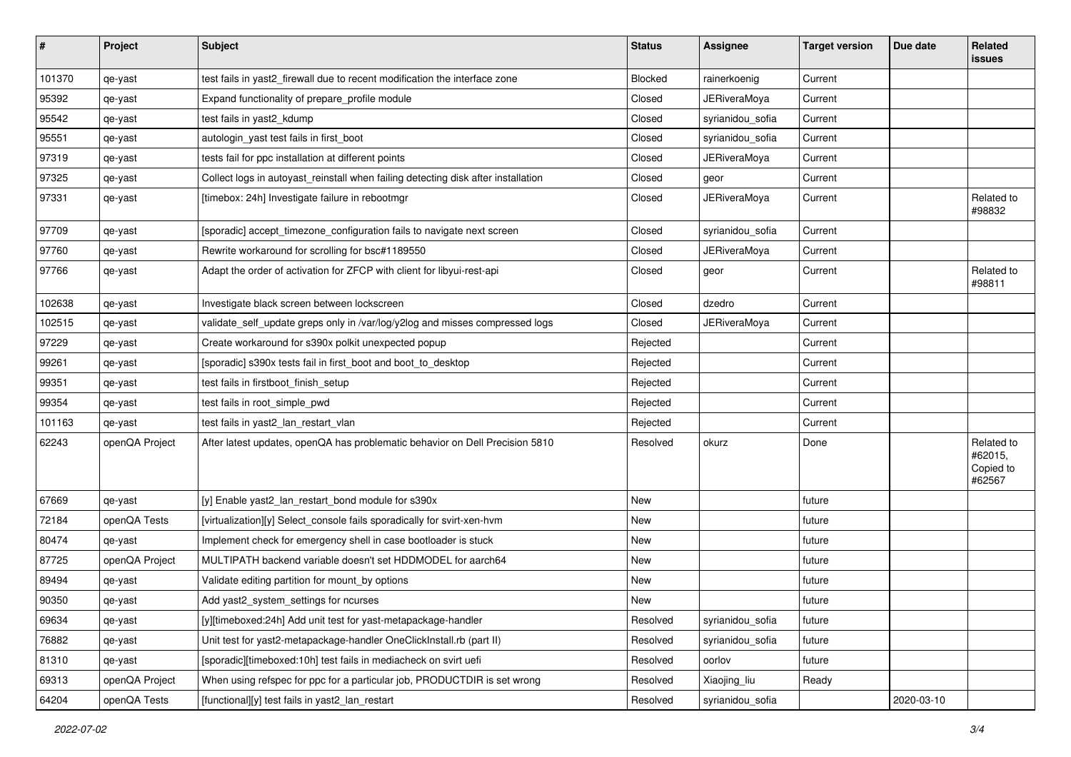| $\vert$ # | Project        | <b>Subject</b>                                                                    | <b>Status</b> | <b>Assignee</b>     | <b>Target version</b> | Due date   | Related<br><b>issues</b>                     |
|-----------|----------------|-----------------------------------------------------------------------------------|---------------|---------------------|-----------------------|------------|----------------------------------------------|
| 101370    | qe-yast        | test fails in yast2_firewall due to recent modification the interface zone        | Blocked       | rainerkoenig        | Current               |            |                                              |
| 95392     | qe-yast        | Expand functionality of prepare profile module                                    | Closed        | <b>JERiveraMoya</b> | Current               |            |                                              |
| 95542     | qe-yast        | test fails in yast2_kdump                                                         | Closed        | syrianidou_sofia    | Current               |            |                                              |
| 95551     | qe-yast        | autologin_yast test fails in first_boot                                           | Closed        | syrianidou_sofia    | Current               |            |                                              |
| 97319     | qe-yast        | tests fail for ppc installation at different points                               | Closed        | <b>JERiveraMoya</b> | Current               |            |                                              |
| 97325     | qe-yast        | Collect logs in autoyast_reinstall when failing detecting disk after installation | Closed        | geor                | Current               |            |                                              |
| 97331     | qe-yast        | [timebox: 24h] Investigate failure in rebootmgr                                   | Closed        | <b>JERiveraMoya</b> | Current               |            | Related to<br>#98832                         |
| 97709     | qe-yast        | [sporadic] accept_timezone_configuration fails to navigate next screen            | Closed        | syrianidou_sofia    | Current               |            |                                              |
| 97760     | qe-yast        | Rewrite workaround for scrolling for bsc#1189550                                  | Closed        | JERiveraMoya        | Current               |            |                                              |
| 97766     | qe-yast        | Adapt the order of activation for ZFCP with client for libyui-rest-api            | Closed        | geor                | Current               |            | Related to<br>#98811                         |
| 102638    | qe-yast        | Investigate black screen between lockscreen                                       | Closed        | dzedro              | Current               |            |                                              |
| 102515    | qe-yast        | validate_self_update greps only in /var/log/y2log and misses compressed logs      | Closed        | JERiveraMoya        | Current               |            |                                              |
| 97229     | qe-yast        | Create workaround for s390x polkit unexpected popup                               | Rejected      |                     | Current               |            |                                              |
| 99261     | qe-yast        | [sporadic] s390x tests fail in first_boot and boot_to_desktop                     | Rejected      |                     | Current               |            |                                              |
| 99351     | qe-yast        | test fails in firstboot_finish_setup                                              | Rejected      |                     | Current               |            |                                              |
| 99354     | qe-yast        | test fails in root_simple_pwd                                                     | Rejected      |                     | Current               |            |                                              |
| 101163    | qe-yast        | test fails in yast2 lan restart vlan                                              | Rejected      |                     | Current               |            |                                              |
| 62243     | openQA Project | After latest updates, openQA has problematic behavior on Dell Precision 5810      | Resolved      | okurz               | Done                  |            | Related to<br>#62015,<br>Copied to<br>#62567 |
| 67669     | qe-yast        | [y] Enable yast2_lan_restart_bond module for s390x                                | New           |                     | future                |            |                                              |
| 72184     | openQA Tests   | [virtualization][y] Select_console fails sporadically for svirt-xen-hvm           | <b>New</b>    |                     | future                |            |                                              |
| 80474     | qe-yast        | Implement check for emergency shell in case bootloader is stuck                   | New           |                     | future                |            |                                              |
| 87725     | openQA Project | MULTIPATH backend variable doesn't set HDDMODEL for aarch64                       | New           |                     | future                |            |                                              |
| 89494     | qe-yast        | Validate editing partition for mount_by options                                   | <b>New</b>    |                     | future                |            |                                              |
| 90350     | qe-yast        | Add yast2 system settings for ncurses                                             | New           |                     | future                |            |                                              |
| 69634     | qe-yast        | [y][timeboxed:24h] Add unit test for yast-metapackage-handler                     | Resolved      | syrianidou_sofia    | future                |            |                                              |
| 76882     | qe-yast        | Unit test for yast2-metapackage-handler OneClickInstall.rb (part II)              | Resolved      | syrianidou_sofia    | future                |            |                                              |
| 81310     | qe-yast        | [sporadic][timeboxed:10h] test fails in mediacheck on svirt uefi                  | Resolved      | oorlov              | future                |            |                                              |
| 69313     | openQA Project | When using refspec for ppc for a particular job, PRODUCTDIR is set wrong          | Resolved      | Xiaojing_liu        | Ready                 |            |                                              |
| 64204     | openQA Tests   | [functional][y] test fails in yast2_lan_restart                                   | Resolved      | syrianidou_sofia    |                       | 2020-03-10 |                                              |